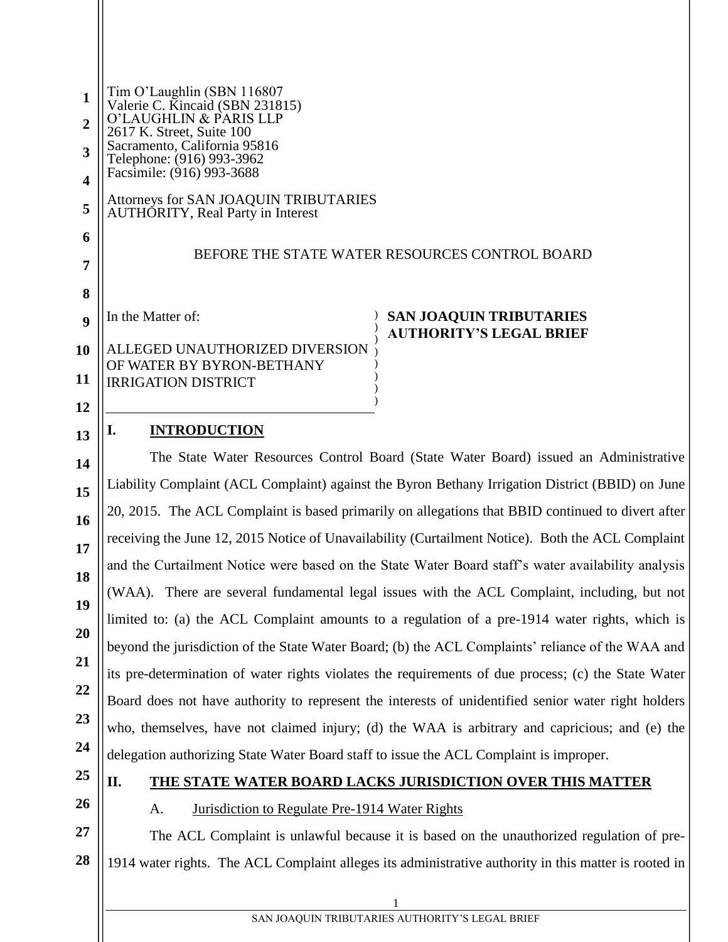| $\mathbf{1}$<br>2       | Tim O'Laughlin (SBN 116807<br>Valerie C. Kincaid (SBN 231815)<br>O'LAUGHLIN & PARIS LLP               |
|-------------------------|-------------------------------------------------------------------------------------------------------|
| 3                       | 2617 K. Street, Suite 100<br>Sacramento, California 95816                                             |
| $\overline{\mathbf{4}}$ | Telephone: (916) 993-3962<br>Facsimile: (916) 993-3688                                                |
| 5                       | Attorneys for SAN JOAQUIN TRIBUTARIES<br><b>AUTHORITY, Real Party in Interest</b>                     |
| 6                       |                                                                                                       |
| 7                       | BEFORE THE STATE WATER RESOURCES CONTROL BOARD                                                        |
| 8                       |                                                                                                       |
| 9                       | In the Matter of:<br><b>SAN JOAQUIN TRIBUTARIES</b>                                                   |
| 10                      | <b>AUTHORITY'S LEGAL BRIEF</b><br>ALLEGED UNAUTHORIZED DIVERSION                                      |
| 11                      | OF WATER BY BYRON-BETHANY<br><b>IRRIGATION DISTRICT</b>                                               |
| 12                      |                                                                                                       |
| 13                      | <b>INTRODUCTION</b><br>I.                                                                             |
| 14                      | The State Water Resources Control Board (State Water Board) issued an Administrative                  |
| 15                      | Liability Complaint (ACL Complaint) against the Byron Bethany Irrigation District (BBID) on June      |
| 16                      | 20, 2015. The ACL Complaint is based primarily on allegations that BBID continued to divert after     |
| 17                      | receiving the June 12, 2015 Notice of Unavailability (Curtailment Notice). Both the ACL Complaint     |
| 18                      | and the Curtailment Notice were based on the State Water Board staff's water availability analysis    |
| 19                      | (WAA). There are several fundamental legal issues with the ACL Complaint, including, but not          |
| 20                      | limited to: (a) the ACL Complaint amounts to a regulation of a pre-1914 water rights, which is        |
| 21                      | beyond the jurisdiction of the State Water Board; (b) the ACL Complaints' reliance of the WAA and     |
| 22                      | its pre-determination of water rights violates the requirements of due process; (c) the State Water   |
| 23                      | Board does not have authority to represent the interests of unidentified senior water right holders   |
| 24                      | who, themselves, have not claimed injury; (d) the WAA is arbitrary and capricious; and (e) the        |
| 25                      | delegation authorizing State Water Board staff to issue the ACL Complaint is improper.                |
| 26                      | II.<br>THE STATE WATER BOARD LACKS JURISDICTION OVER THIS MATTER                                      |
| 27                      | Jurisdiction to Regulate Pre-1914 Water Rights<br>A.                                                  |
| 28                      | The ACL Complaint is unlawful because it is based on the unauthorized regulation of pre-              |
|                         | 1914 water rights. The ACL Complaint alleges its administrative authority in this matter is rooted in |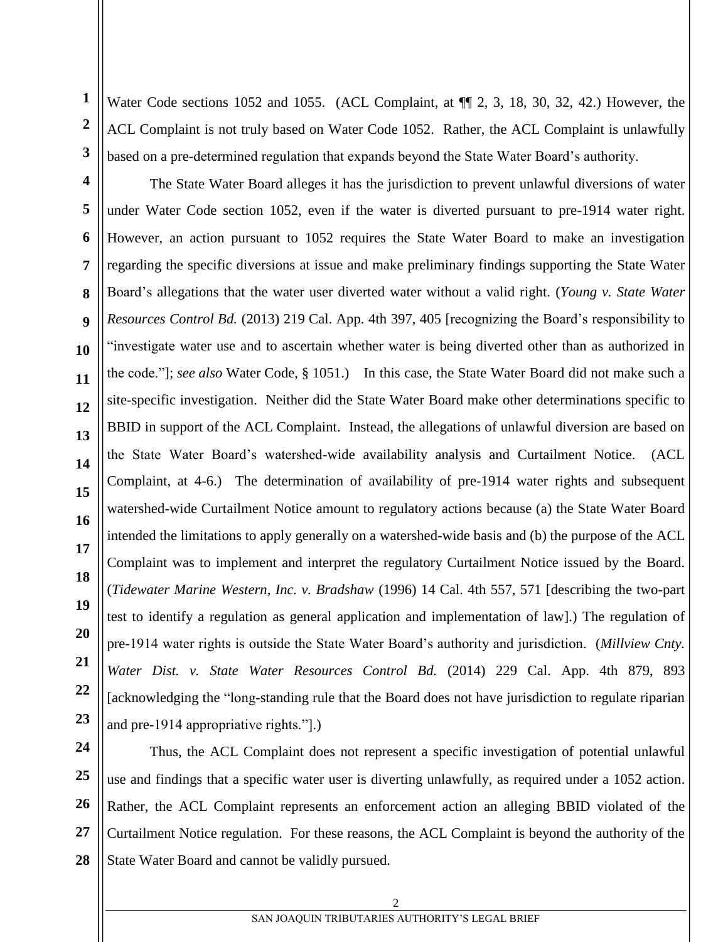**1 3** Water Code sections 1052 and 1055. (ACL Complaint, at  $\P$  2, 3, 18, 30, 32, 42.) However, the ACL Complaint is not truly based on Water Code 1052. Rather, the ACL Complaint is unlawfully based on a pre-determined regulation that expands beyond the State Water Board's authority.

**2**

**5**

**6**

**7**

**8**

**9**

**10**

**11**

**12**

**13**

**14**

**15**

**17**

**18**

**19**

**20**

**21**

**23**

**4 16 22** The State Water Board alleges it has the jurisdiction to prevent unlawful diversions of water under Water Code section 1052, even if the water is diverted pursuant to pre-1914 water right. However, an action pursuant to 1052 requires the State Water Board to make an investigation regarding the specific diversions at issue and make preliminary findings supporting the State Water Board's allegations that the water user diverted water without a valid right. (*Young v. State Water Resources Control Bd.* (2013) 219 Cal. App. 4th 397, 405 [recognizing the Board's responsibility to "investigate water use and to ascertain whether water is being diverted other than as authorized in the code."]; *see also* Water Code, § 1051.) In this case, the State Water Board did not make such a site-specific investigation. Neither did the State Water Board make other determinations specific to BBID in support of the ACL Complaint. Instead, the allegations of unlawful diversion are based on the State Water Board's watershed-wide availability analysis and Curtailment Notice. (ACL Complaint, at 4-6.) The determination of availability of pre-1914 water rights and subsequent watershed-wide Curtailment Notice amount to regulatory actions because (a) the State Water Board intended the limitations to apply generally on a watershed-wide basis and (b) the purpose of the ACL Complaint was to implement and interpret the regulatory Curtailment Notice issued by the Board. (*Tidewater Marine Western, Inc. v. Bradshaw* (1996) 14 Cal. 4th 557, 571 [describing the two-part test to identify a regulation as general application and implementation of law].) The regulation of pre-1914 water rights is outside the State Water Board's authority and jurisdiction. (*Millview Cnty. Water Dist. v. State Water Resources Control Bd.* (2014) 229 Cal. App. 4th 879, 893 [acknowledging the "long-standing rule that the Board does not have jurisdiction to regulate riparian and pre-1914 appropriative rights."].)

**24 25 26 27 28** Thus, the ACL Complaint does not represent a specific investigation of potential unlawful use and findings that a specific water user is diverting unlawfully, as required under a 1052 action. Rather, the ACL Complaint represents an enforcement action an alleging BBID violated of the Curtailment Notice regulation. For these reasons, the ACL Complaint is beyond the authority of the State Water Board and cannot be validly pursued.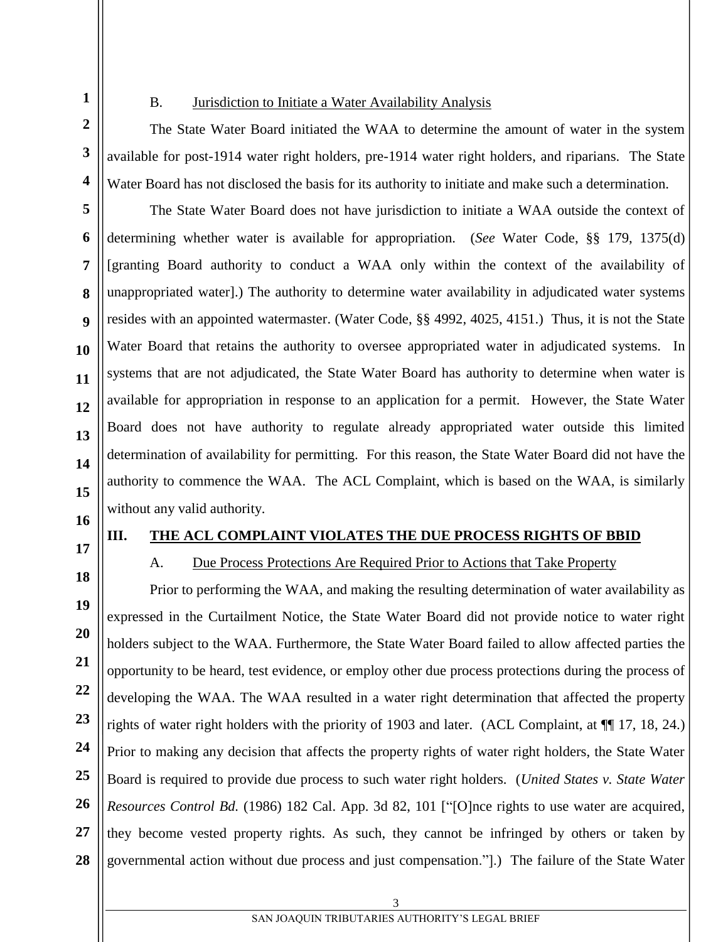**1**

**2**

**3**

**4**

**5**

**6**

**7**

**8**

**9**

**10**

**11**

**12**

**13**

**14**

**15**

#### B. Jurisdiction to Initiate a Water Availability Analysis

The State Water Board initiated the WAA to determine the amount of water in the system available for post-1914 water right holders, pre-1914 water right holders, and riparians. The State Water Board has not disclosed the basis for its authority to initiate and make such a determination.

The State Water Board does not have jurisdiction to initiate a WAA outside the context of determining whether water is available for appropriation. (*See* Water Code, §§ 179, 1375(d) [granting Board authority to conduct a WAA only within the context of the availability of unappropriated water].) The authority to determine water availability in adjudicated water systems resides with an appointed watermaster. (Water Code, §§ 4992, 4025, 4151.) Thus, it is not the State Water Board that retains the authority to oversee appropriated water in adjudicated systems. In systems that are not adjudicated, the State Water Board has authority to determine when water is available for appropriation in response to an application for a permit. However, the State Water Board does not have authority to regulate already appropriated water outside this limited determination of availability for permitting. For this reason, the State Water Board did not have the authority to commence the WAA. The ACL Complaint, which is based on the WAA, is similarly without any valid authority.

- **16**
- **17**

**18**

**19**

**20**

**21**

**22**

**23**

**24**

**25**

**26**

**27**

**28**

#### **III. THE ACL COMPLAINT VIOLATES THE DUE PROCESS RIGHTS OF BBID**

A. Due Process Protections Are Required Prior to Actions that Take Property

Prior to performing the WAA, and making the resulting determination of water availability as expressed in the Curtailment Notice, the State Water Board did not provide notice to water right holders subject to the WAA. Furthermore, the State Water Board failed to allow affected parties the opportunity to be heard, test evidence, or employ other due process protections during the process of developing the WAA. The WAA resulted in a water right determination that affected the property rights of water right holders with the priority of 1903 and later. (ACL Complaint, at ¶¶ 17, 18, 24.) Prior to making any decision that affects the property rights of water right holders, the State Water Board is required to provide due process to such water right holders. (*United States v. State Water Resources Control Bd.* (1986) 182 Cal. App. 3d 82, 101 ["[O]nce rights to use water are acquired, they become vested property rights. As such, they cannot be infringed by others or taken by governmental action without due process and just compensation."].) The failure of the State Water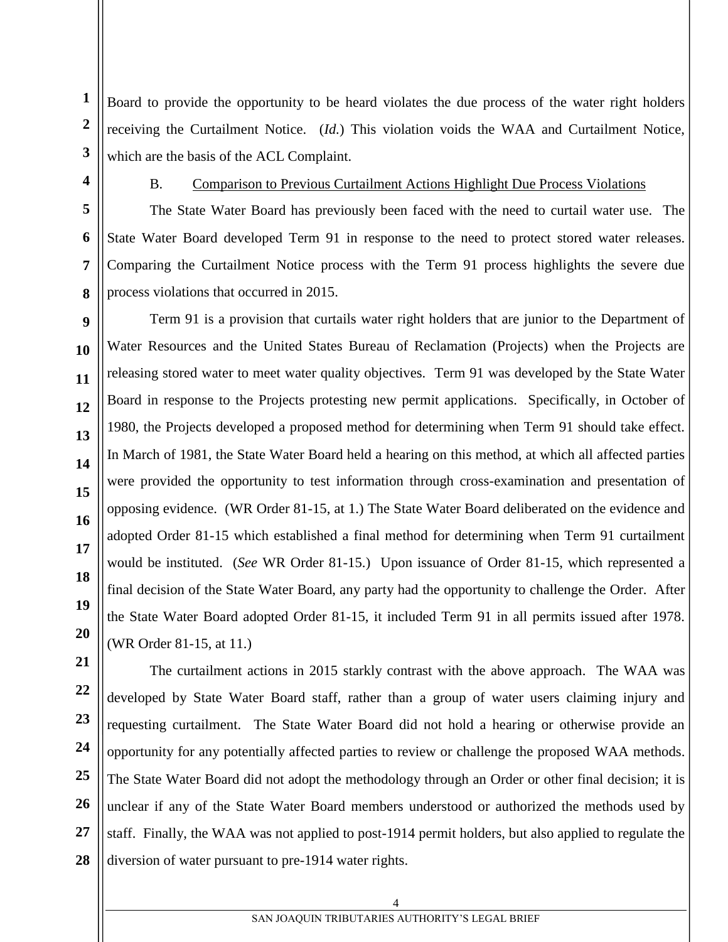Board to provide the opportunity to be heard violates the due process of the water right holders receiving the Curtailment Notice. (*Id.*) This violation voids the WAA and Curtailment Notice, which are the basis of the ACL Complaint.

**1**

**2**

# B. Comparison to Previous Curtailment Actions Highlight Due Process Violations

The State Water Board has previously been faced with the need to curtail water use. The State Water Board developed Term 91 in response to the need to protect stored water releases. Comparing the Curtailment Notice process with the Term 91 process highlights the severe due process violations that occurred in 2015.

Term 91 is a provision that curtails water right holders that are junior to the Department of Water Resources and the United States Bureau of Reclamation (Projects) when the Projects are releasing stored water to meet water quality objectives. Term 91 was developed by the State Water Board in response to the Projects protesting new permit applications. Specifically, in October of 1980, the Projects developed a proposed method for determining when Term 91 should take effect. In March of 1981, the State Water Board held a hearing on this method, at which all affected parties were provided the opportunity to test information through cross-examination and presentation of opposing evidence. (WR Order 81-15, at 1.) The State Water Board deliberated on the evidence and adopted Order 81-15 which established a final method for determining when Term 91 curtailment would be instituted. (*See* WR Order 81-15.) Upon issuance of Order 81-15, which represented a final decision of the State Water Board, any party had the opportunity to challenge the Order. After the State Water Board adopted Order 81-15, it included Term 91 in all permits issued after 1978. (WR Order 81-15, at 11.)

The curtailment actions in 2015 starkly contrast with the above approach. The WAA was developed by State Water Board staff, rather than a group of water users claiming injury and requesting curtailment. The State Water Board did not hold a hearing or otherwise provide an opportunity for any potentially affected parties to review or challenge the proposed WAA methods. The State Water Board did not adopt the methodology through an Order or other final decision; it is unclear if any of the State Water Board members understood or authorized the methods used by staff. Finally, the WAA was not applied to post-1914 permit holders, but also applied to regulate the diversion of water pursuant to pre-1914 water rights.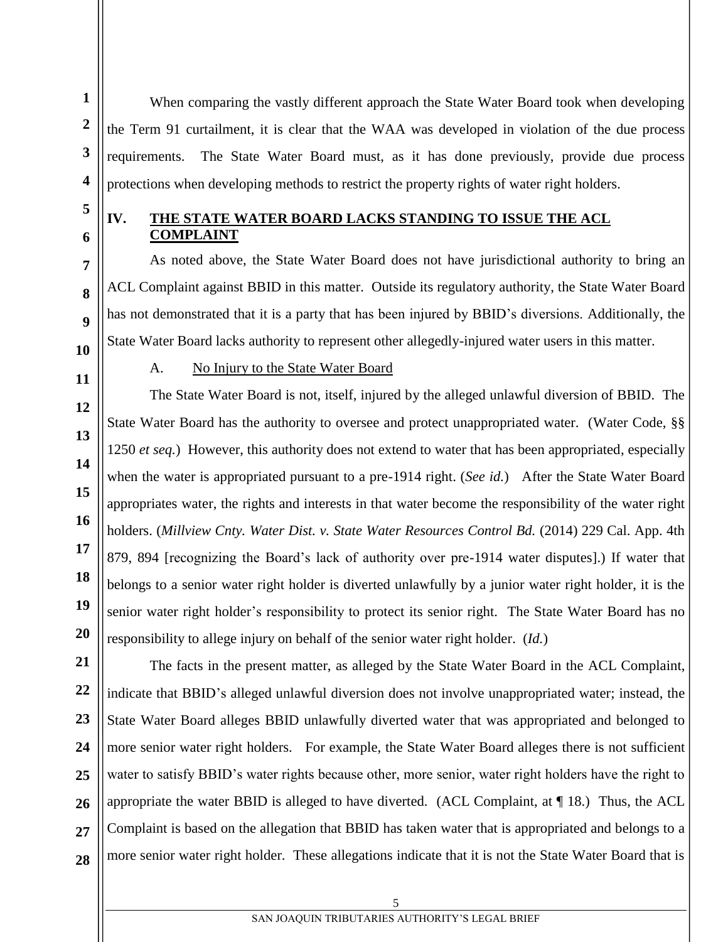When comparing the vastly different approach the State Water Board took when developing the Term 91 curtailment, it is clear that the WAA was developed in violation of the due process requirements. The State Water Board must, as it has done previously, provide due process protections when developing methods to restrict the property rights of water right holders.

**1**

# **IV. THE STATE WATER BOARD LACKS STANDING TO ISSUE THE ACL COMPLAINT**

As noted above, the State Water Board does not have jurisdictional authority to bring an ACL Complaint against BBID in this matter. Outside its regulatory authority, the State Water Board has not demonstrated that it is a party that has been injured by BBID's diversions. Additionally, the State Water Board lacks authority to represent other allegedly-injured water users in this matter.

# A. No Injury to the State Water Board

The State Water Board is not, itself, injured by the alleged unlawful diversion of BBID. The State Water Board has the authority to oversee and protect unappropriated water. (Water Code, §§ 1250 *et seq.*) However, this authority does not extend to water that has been appropriated, especially when the water is appropriated pursuant to a pre-1914 right. (*See id.*) After the State Water Board appropriates water, the rights and interests in that water become the responsibility of the water right holders. (*Millview Cnty. Water Dist. v. State Water Resources Control Bd.* (2014) 229 Cal. App. 4th 879, 894 [recognizing the Board's lack of authority over pre-1914 water disputes].) If water that belongs to a senior water right holder is diverted unlawfully by a junior water right holder, it is the senior water right holder's responsibility to protect its senior right. The State Water Board has no responsibility to allege injury on behalf of the senior water right holder. (*Id.*)

**28** The facts in the present matter, as alleged by the State Water Board in the ACL Complaint, indicate that BBID's alleged unlawful diversion does not involve unappropriated water; instead, the State Water Board alleges BBID unlawfully diverted water that was appropriated and belonged to more senior water right holders. For example, the State Water Board alleges there is not sufficient water to satisfy BBID's water rights because other, more senior, water right holders have the right to appropriate the water BBID is alleged to have diverted. (ACL Complaint, at ¶ 18.) Thus, the ACL Complaint is based on the allegation that BBID has taken water that is appropriated and belongs to a more senior water right holder. These allegations indicate that it is not the State Water Board that is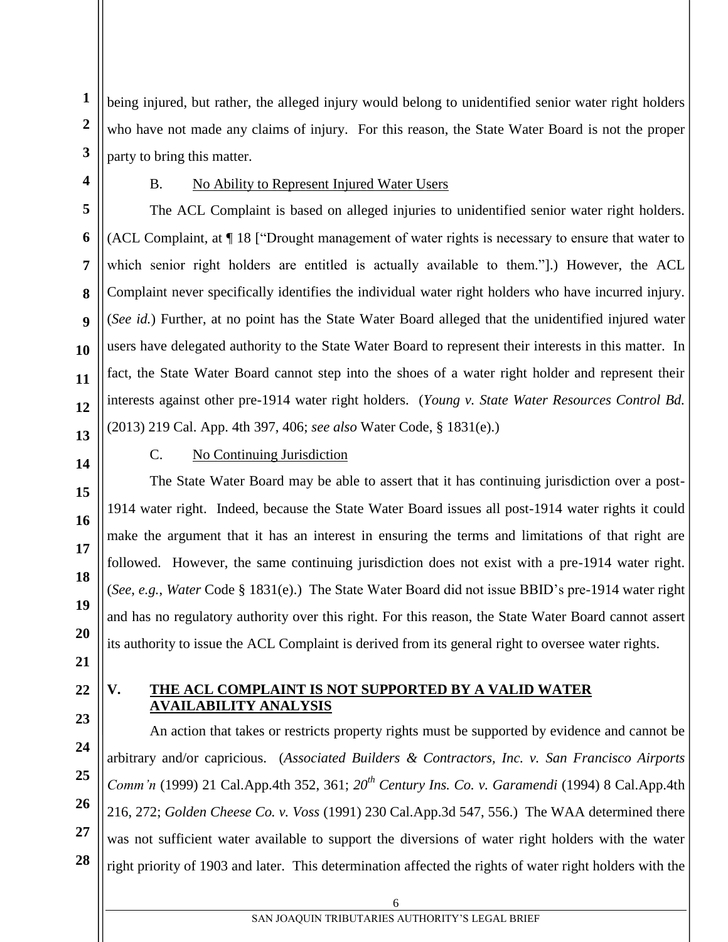being injured, but rather, the alleged injury would belong to unidentified senior water right holders who have not made any claims of injury. For this reason, the State Water Board is not the proper party to bring this matter.

**1**

**2**

**3**

**4**

**5**

**6**

**7**

**8**

**9**

**10**

**11**

**12**

**13**

**14**

**15**

**16**

**17**

**18**

**19**

**20**

# B. No Ability to Represent Injured Water Users

The ACL Complaint is based on alleged injuries to unidentified senior water right holders. (ACL Complaint, at ¶ 18 ["Drought management of water rights is necessary to ensure that water to which senior right holders are entitled is actually available to them."].) However, the ACL Complaint never specifically identifies the individual water right holders who have incurred injury. (*See id.*) Further, at no point has the State Water Board alleged that the unidentified injured water users have delegated authority to the State Water Board to represent their interests in this matter. In fact, the State Water Board cannot step into the shoes of a water right holder and represent their interests against other pre-1914 water right holders. (*Young v. State Water Resources Control Bd.* (2013) 219 Cal. App. 4th 397, 406; *see also* Water Code, § 1831(e).)

### C. No Continuing Jurisdiction

The State Water Board may be able to assert that it has continuing jurisdiction over a post-1914 water right. Indeed, because the State Water Board issues all post-1914 water rights it could make the argument that it has an interest in ensuring the terms and limitations of that right are followed. However, the same continuing jurisdiction does not exist with a pre-1914 water right. (*See*, *e.g.*, *Water* Code § 1831(e).) The State Water Board did not issue BBID's pre-1914 water right and has no regulatory authority over this right. For this reason, the State Water Board cannot assert its authority to issue the ACL Complaint is derived from its general right to oversee water rights.

- **21**
- **22 23**

**24**

**25**

**26**

**27**

**28**

### **V. THE ACL COMPLAINT IS NOT SUPPORTED BY A VALID WATER AVAILABILITY ANALYSIS**

An action that takes or restricts property rights must be supported by evidence and cannot be arbitrary and/or capricious. (*Associated Builders & Contractors, Inc. v. San Francisco Airports Comm'n* (1999) 21 Cal.App.4th 352, 361; *20th Century Ins. Co. v. Garamendi* (1994) 8 Cal.App.4th 216, 272; *Golden Cheese Co. v. Voss* (1991) 230 Cal.App.3d 547, 556.) The WAA determined there was not sufficient water available to support the diversions of water right holders with the water right priority of 1903 and later. This determination affected the rights of water right holders with the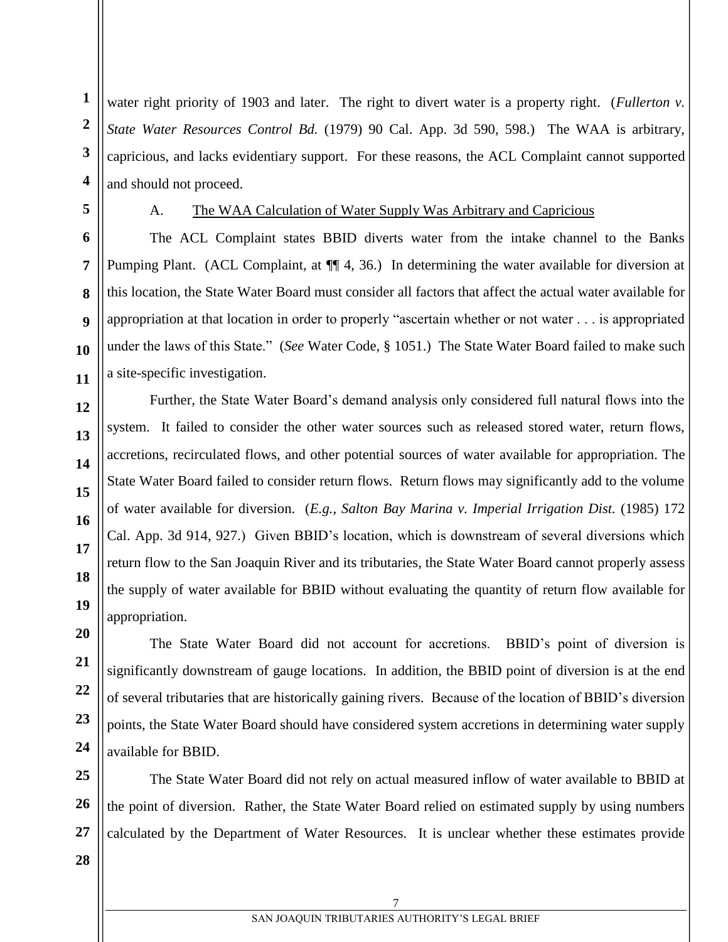water right priority of 1903 and later. The right to divert water is a property right. (*Fullerton v. State Water Resources Control Bd.* (1979) 90 Cal. App. 3d 590, 598.) The WAA is arbitrary, capricious, and lacks evidentiary support. For these reasons, the ACL Complaint cannot supported and should not proceed.

**5**

**1**

**2**

**3**

**4**

**6**

**7**

**8**

**9**

**10**

**11**

**12**

**13**

**14**

**15**

**16**

**17**

**18**

**19**

**20**

**21**

**22**

**23**

**24**

#### A. The WAA Calculation of Water Supply Was Arbitrary and Capricious

The ACL Complaint states BBID diverts water from the intake channel to the Banks Pumping Plant. (ACL Complaint, at  $\P$  4, 36.) In determining the water available for diversion at this location, the State Water Board must consider all factors that affect the actual water available for appropriation at that location in order to properly "ascertain whether or not water . . . is appropriated under the laws of this State." (*See* Water Code, § 1051.) The State Water Board failed to make such a site-specific investigation.

Further, the State Water Board's demand analysis only considered full natural flows into the system. It failed to consider the other water sources such as released stored water, return flows, accretions, recirculated flows, and other potential sources of water available for appropriation. The State Water Board failed to consider return flows. Return flows may significantly add to the volume of water available for diversion. (*E.g., Salton Bay Marina v. Imperial Irrigation Dist.* (1985) 172 Cal. App. 3d 914, 927.) Given BBID's location, which is downstream of several diversions which return flow to the San Joaquin River and its tributaries, the State Water Board cannot properly assess the supply of water available for BBID without evaluating the quantity of return flow available for appropriation.

The State Water Board did not account for accretions. BBID's point of diversion is significantly downstream of gauge locations. In addition, the BBID point of diversion is at the end of several tributaries that are historically gaining rivers. Because of the location of BBID's diversion points, the State Water Board should have considered system accretions in determining water supply available for BBID.

**25 26** The State Water Board did not rely on actual measured inflow of water available to BBID at the point of diversion. Rather, the State Water Board relied on estimated supply by using numbers calculated by the Department of Water Resources. It is unclear whether these estimates provide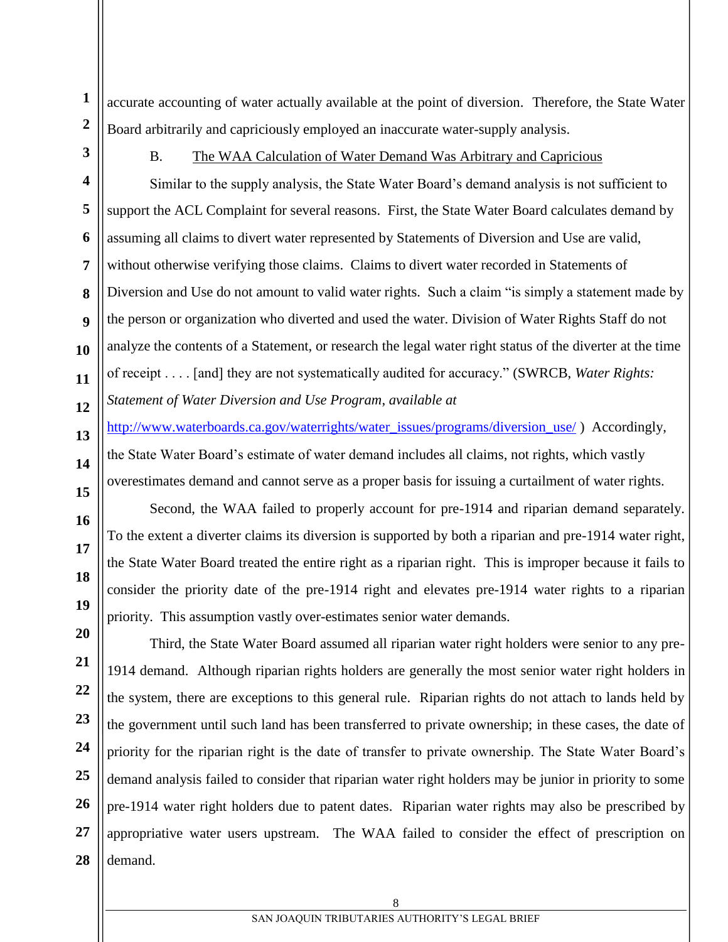**1 2** accurate accounting of water actually available at the point of diversion. Therefore, the State Water Board arbitrarily and capriciously employed an inaccurate water-supply analysis.

**3**

**4**

**5**

**6**

## B. The WAA Calculation of Water Demand Was Arbitrary and Capricious

Similar to the supply analysis, the State Water Board's demand analysis is not sufficient to support the ACL Complaint for several reasons. First, the State Water Board calculates demand by assuming all claims to divert water represented by Statements of Diversion and Use are valid, without otherwise verifying those claims. Claims to divert water recorded in Statements of Diversion and Use do not amount to valid water rights. Such a claim "is simply a statement made by the person or organization who diverted and used the water. Division of Water Rights Staff do not analyze the contents of a Statement, or research the legal water right status of the diverter at the time of receipt . . . . [and] they are not systematically audited for accuracy." (SWRCB, *Water Rights: Statement of Water Diversion and Use Program*, *available at* 

[http://www.waterboards.ca.gov/waterrights/water\\_issues/programs/diversion\\_use/](http://www.waterboards.ca.gov/waterrights/water_issues/programs/diversion_use/) ) Accordingly, the State Water Board's estimate of water demand includes all claims, not rights, which vastly overestimates demand and cannot serve as a proper basis for issuing a curtailment of water rights.

Second, the WAA failed to properly account for pre-1914 and riparian demand separately. To the extent a diverter claims its diversion is supported by both a riparian and pre-1914 water right, the State Water Board treated the entire right as a riparian right. This is improper because it fails to consider the priority date of the pre-1914 right and elevates pre-1914 water rights to a riparian priority. This assumption vastly over-estimates senior water demands.

Third, the State Water Board assumed all riparian water right holders were senior to any pre-1914 demand. Although riparian rights holders are generally the most senior water right holders in the system, there are exceptions to this general rule. Riparian rights do not attach to lands held by the government until such land has been transferred to private ownership; in these cases, the date of priority for the riparian right is the date of transfer to private ownership. The State Water Board's demand analysis failed to consider that riparian water right holders may be junior in priority to some pre-1914 water right holders due to patent dates. Riparian water rights may also be prescribed by appropriative water users upstream. The WAA failed to consider the effect of prescription on demand.

**28**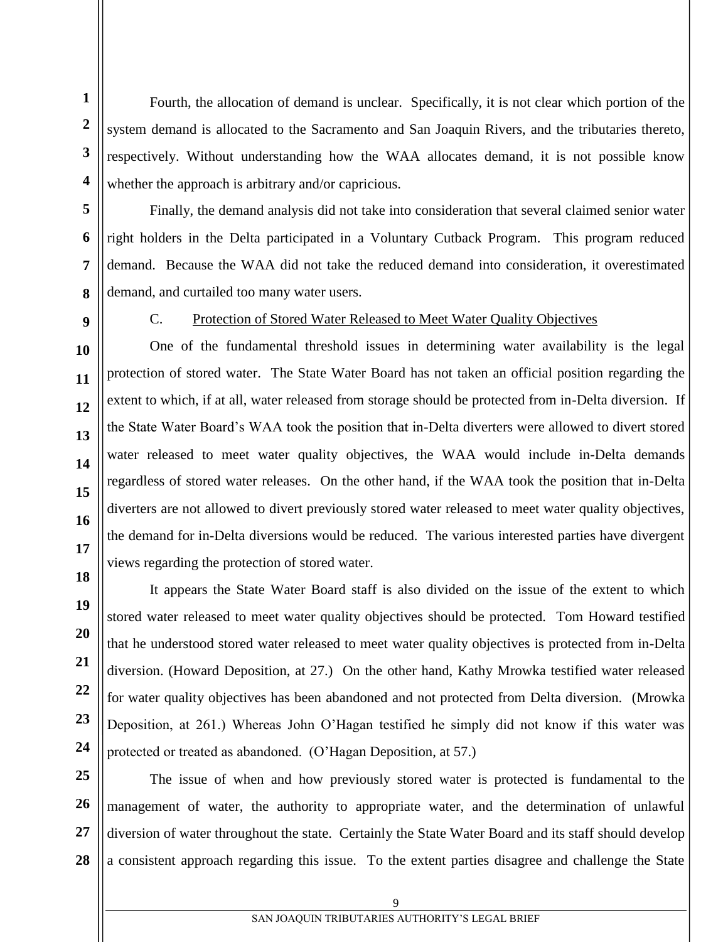Fourth, the allocation of demand is unclear. Specifically, it is not clear which portion of the system demand is allocated to the Sacramento and San Joaquin Rivers, and the tributaries thereto, respectively. Without understanding how the WAA allocates demand, it is not possible know whether the approach is arbitrary and/or capricious.

Finally, the demand analysis did not take into consideration that several claimed senior water right holders in the Delta participated in a Voluntary Cutback Program. This program reduced demand. Because the WAA did not take the reduced demand into consideration, it overestimated demand, and curtailed too many water users.

**1**

**2**

#### C. Protection of Stored Water Released to Meet Water Quality Objectives

One of the fundamental threshold issues in determining water availability is the legal protection of stored water. The State Water Board has not taken an official position regarding the extent to which, if at all, water released from storage should be protected from in-Delta diversion. If the State Water Board's WAA took the position that in-Delta diverters were allowed to divert stored water released to meet water quality objectives, the WAA would include in-Delta demands regardless of stored water releases. On the other hand, if the WAA took the position that in-Delta diverters are not allowed to divert previously stored water released to meet water quality objectives, the demand for in-Delta diversions would be reduced. The various interested parties have divergent views regarding the protection of stored water.

It appears the State Water Board staff is also divided on the issue of the extent to which stored water released to meet water quality objectives should be protected. Tom Howard testified that he understood stored water released to meet water quality objectives is protected from in-Delta diversion. (Howard Deposition, at 27.) On the other hand, Kathy Mrowka testified water released for water quality objectives has been abandoned and not protected from Delta diversion. (Mrowka Deposition, at 261.) Whereas John O'Hagan testified he simply did not know if this water was protected or treated as abandoned. (O'Hagan Deposition, at 57.)

The issue of when and how previously stored water is protected is fundamental to the management of water, the authority to appropriate water, and the determination of unlawful diversion of water throughout the state. Certainly the State Water Board and its staff should develop a consistent approach regarding this issue. To the extent parties disagree and challenge the State